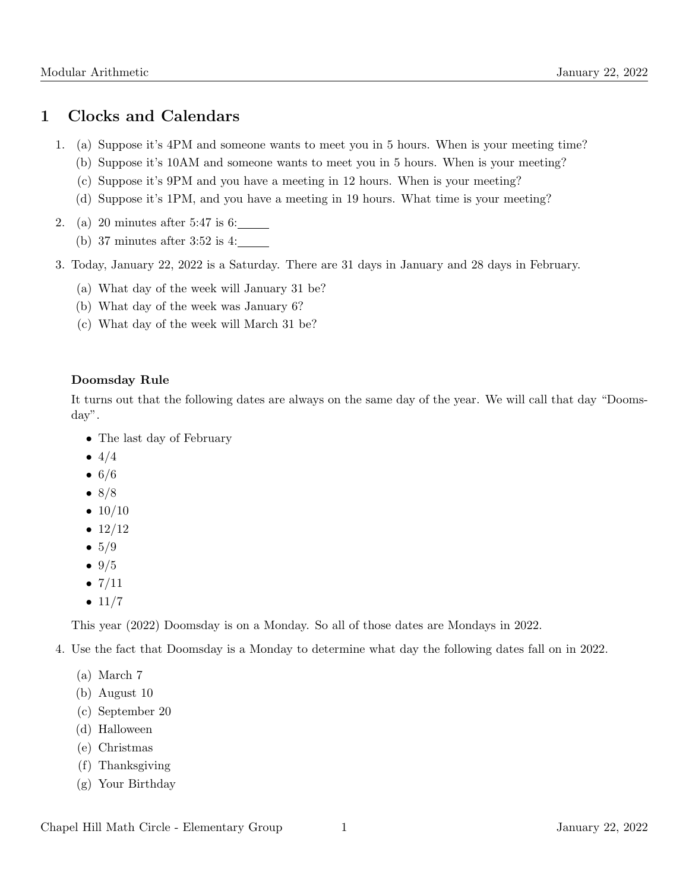### 1 Clocks and Calendars

- 1. (a) Suppose it's 4PM and someone wants to meet you in 5 hours. When is your meeting time?
	- (b) Suppose it's 10AM and someone wants to meet you in 5 hours. When is your meeting?
	- (c) Suppose it's 9PM and you have a meeting in 12 hours. When is your meeting?
	- (d) Suppose it's 1PM, and you have a meeting in 19 hours. What time is your meeting?
- 2. (a) 20 minutes after 5:47 is 6:
	- (b) 37 minutes after 3:52 is 4:
- 3. Today, January 22, 2022 is a Saturday. There are 31 days in January and 28 days in February.
	- (a) What day of the week will January 31 be?
	- (b) What day of the week was January 6?
	- (c) What day of the week will March 31 be?

#### Doomsday Rule

It turns out that the following dates are always on the same day of the year. We will call that day "Doomsday".

- The last day of February
- $4/4$
- $6/6$
- $8/8$
- $10/10$
- $12/12$
- $5/9$
- $9/5$
- $7/11$
- $11/7$

This year (2022) Doomsday is on a Monday. So all of those dates are Mondays in 2022.

- 4. Use the fact that Doomsday is a Monday to determine what day the following dates fall on in 2022.
	- (a) March 7
	- (b) August 10
	- (c) September 20
	- (d) Halloween
	- (e) Christmas
	- (f) Thanksgiving
	- (g) Your Birthday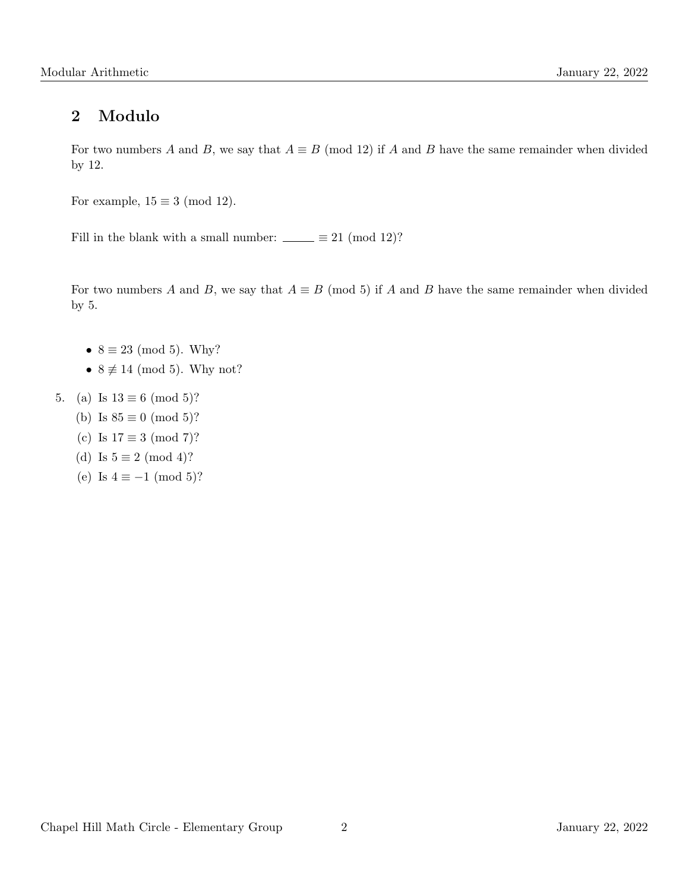# 2 Modulo

For two numbers A and B, we say that  $A \equiv B \pmod{12}$  if A and B have the same remainder when divided by 12.

For example,  $15 \equiv 3 \pmod{12}$ .

Fill in the blank with a small number:  $\_\_ \equiv 21 \pmod{12}$ ?

For two numbers A and B, we say that  $A \equiv B \pmod{5}$  if A and B have the same remainder when divided by 5.

- $8 \equiv 23 \pmod{5}$ . Why?
- $8 \not\equiv 14 \pmod{5}$ . Why not?
- 5. (a) Is  $13 \equiv 6 \pmod{5}$ ?
	- (b) Is  $85 \equiv 0 \pmod{5}$ ?
	- (c) Is  $17 \equiv 3 \pmod{7}$ ?
	- (d) Is  $5 \equiv 2 \pmod{4}$ ?
	- (e) Is  $4 \equiv -1 \pmod{5}$ ?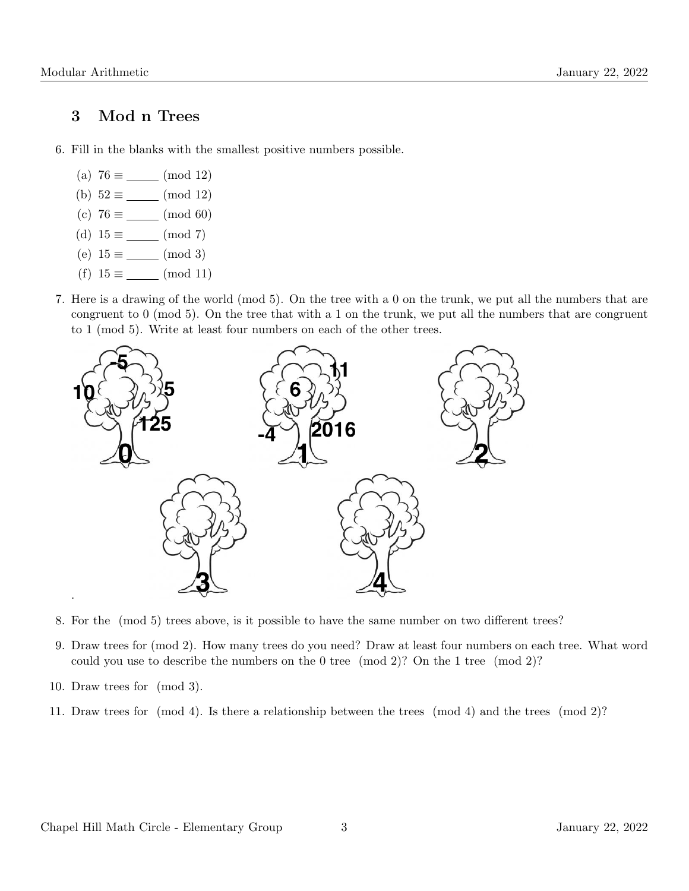#### 3 Mod n Trees

- 6. Fill in the blanks with the smallest positive numbers possible.
	- (a)  $76 \equiv$  (mod 12)
	- (b)  $52 \equiv$  (mod 12)
	- (c)  $76 \equiv$  (mod 60)
	- (d)  $15 \equiv$  (mod 7)
	- (e)  $15 \equiv$  (mod 3)
	- (f)  $15 \equiv$  (mod 11)
- 7. Here is a drawing of the world (mod 5). On the tree with a 0 on the trunk, we put all the numbers that are congruent to 0 (mod 5). On the tree that with a 1 on the trunk, we put all the numbers that are congruent to 1 (mod 5). Write at least four numbers on each of the other trees.



- 8. For the (mod 5) trees above, is it possible to have the same number on two different trees?
- 9. Draw trees for (mod 2). How many trees do you need? Draw at least four numbers on each tree. What word could you use to describe the numbers on the 0 tree (mod 2)? On the 1 tree (mod 2)?
- 10. Draw trees for (mod 3).
- 11. Draw trees for (mod 4). Is there a relationship between the trees (mod 4) and the trees (mod 2)?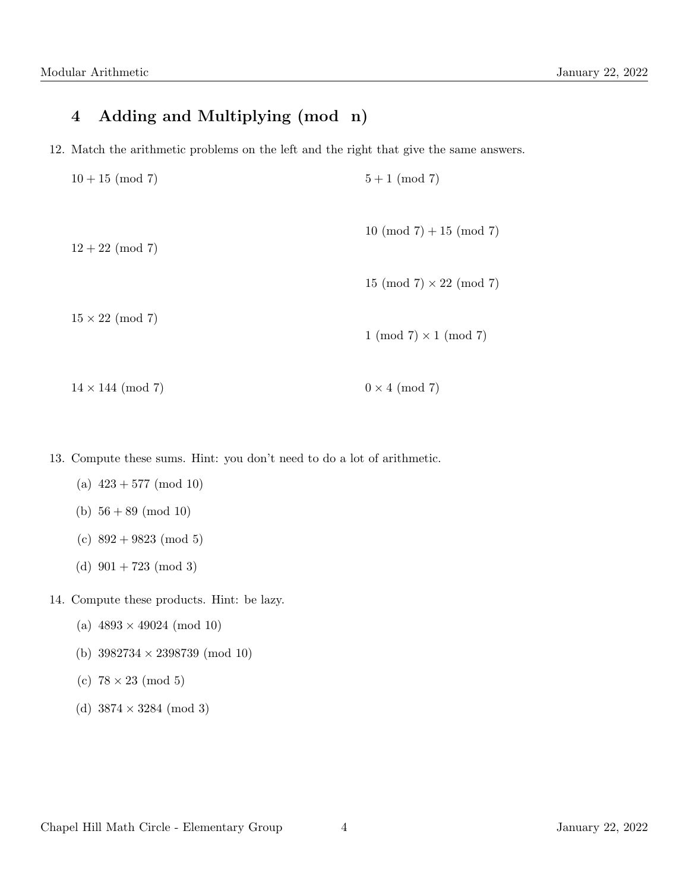# 4 Adding and Multiplying (mod n)

12. Match the arithmetic problems on the left and the right that give the same answers.

| $10 + 15 \pmod{7}$       | $5+1 \pmod{7}$                 |
|--------------------------|--------------------------------|
| $12 + 22 \pmod{7}$       | $10 \pmod{7} + 15 \pmod{7}$    |
|                          | 15 (mod 7) $\times$ 22 (mod 7) |
| $15 \times 22 \pmod{7}$  | $1 \pmod{7} \times 1 \pmod{7}$ |
| $14 \times 144 \pmod{7}$ | $0 \times 4 \pmod{7}$          |

13. Compute these sums. Hint: you don't need to do a lot of arithmetic.

- (a)  $423 + 577 \pmod{10}$
- (b)  $56 + 89 \pmod{10}$
- (c)  $892 + 9823 \pmod{5}$
- (d)  $901 + 723 \pmod{3}$

14. Compute these products. Hint: be lazy.

- (a)  $4893 \times 49024 \pmod{10}$
- (b) 3982734 × 2398739 (mod 10)
- (c)  $78 \times 23 \pmod{5}$
- (d)  $3874 \times 3284 \pmod{3}$